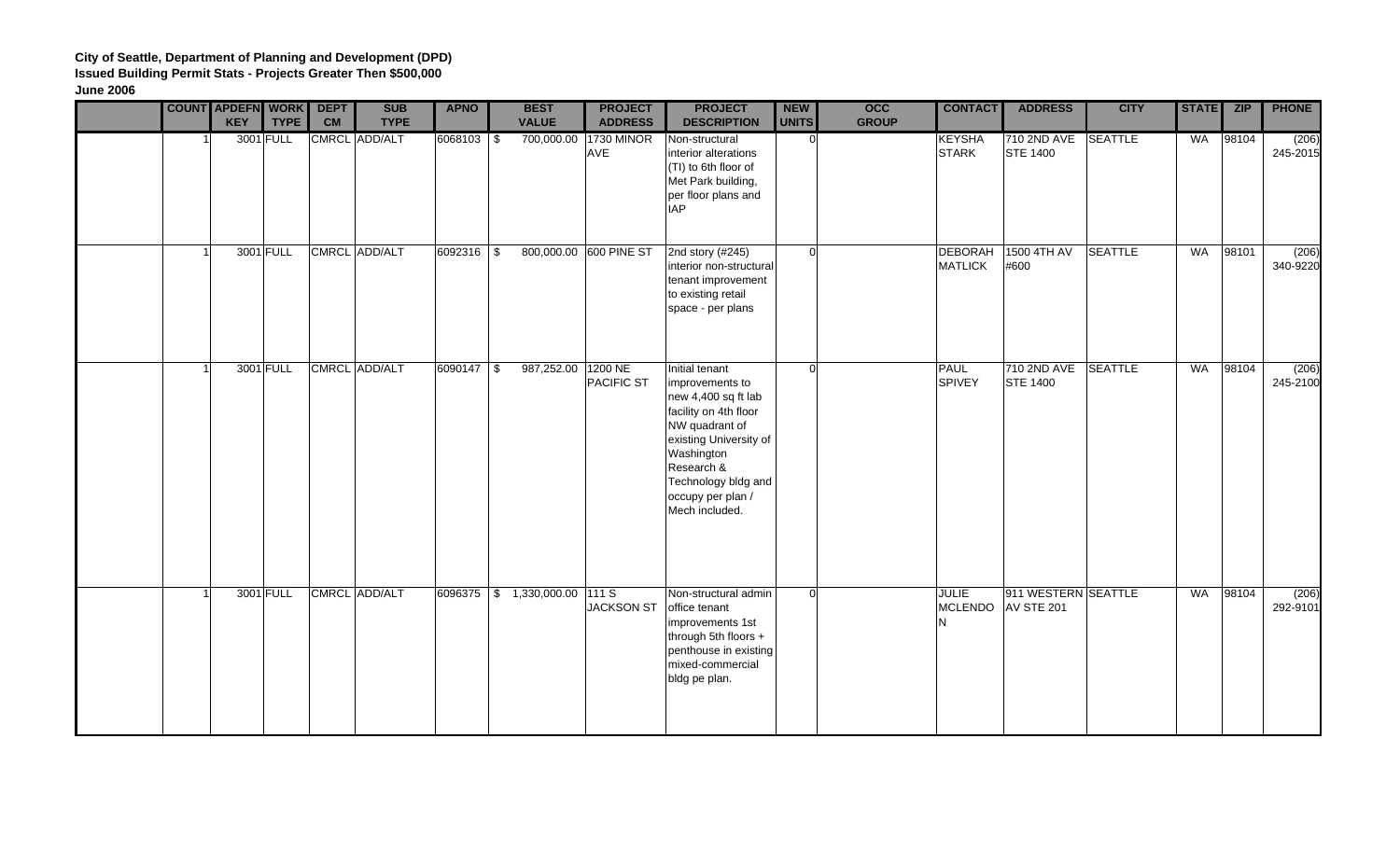|  | <b>COUNT APDEFN WORK</b><br><b>KEY</b> | <b>TYPE</b> | <b>DEPT</b><br><b>CM</b> | <b>SUB</b><br><b>TYPE</b> | <b>APNO</b>  | <b>BEST</b><br><b>VALUE</b>                                                                       | <b>PROJECT</b><br><b>ADDRESS</b> | <b>PROJECT</b><br><b>DESCRIPTION</b>                                                                                                                                                                                    | <b>NEW</b><br><b>UNITS</b> | $\overline{occ}$<br><b>GROUP</b> | <b>CONTACT</b>                      | <b>ADDRESS</b>                    | <b>CITY</b>    | <b>STATE</b> | ZIP   | <b>PHONE</b>      |
|--|----------------------------------------|-------------|--------------------------|---------------------------|--------------|---------------------------------------------------------------------------------------------------|----------------------------------|-------------------------------------------------------------------------------------------------------------------------------------------------------------------------------------------------------------------------|----------------------------|----------------------------------|-------------------------------------|-----------------------------------|----------------|--------------|-------|-------------------|
|  |                                        | 3001 FULL   |                          | CMRCL ADD/ALT             | 6068103 \$   |                                                                                                   | 700,000.00 1730 MINOR<br>AVE     | Non-structural<br>interior alterations<br>(TI) to 6th floor of<br>Met Park building,<br>per floor plans and<br><b>IAP</b>                                                                                               | $\Omega$                   |                                  | <b>KEYSHA</b><br><b>STARK</b>       | 710 2ND AVE<br><b>STE 1400</b>    | SEATTLE        | WA           | 98104 | (206)<br>245-2015 |
|  |                                        | 3001 FULL   |                          | CMRCL ADD/ALT             | 6092316 \$   |                                                                                                   | 800,000.00 600 PINE ST           | 2nd story (#245)<br>interior non-structural<br>tenant improvement<br>to existing retail<br>space - per plans                                                                                                            | $\Omega$                   |                                  | <b>DEBORAH</b><br><b>MATLICK</b>    | 1500 4TH AV<br>#600               | <b>SEATTLE</b> | WA           | 98101 | (206)<br>340-9220 |
|  |                                        | 3001 FULL   |                          | CMRCL ADD/ALT             | $6090147$ \$ | 987,252.00                                                                                        | 1200 NE<br><b>PACIFIC ST</b>     | Initial tenant<br>improvements to<br>new 4,400 sq ft lab<br>facility on 4th floor<br>NW quadrant of<br>existing University of<br>Washington<br>Research &<br>Technology bldg and<br>occupy per plan /<br>Mech included. | $\Omega$                   |                                  | <b>PAUL</b><br><b>SPIVEY</b>        | 710 2ND AVE<br><b>STE 1400</b>    | <b>SEATTLE</b> | WA           | 98104 | (206)<br>245-2100 |
|  |                                        | 3001 FULL   |                          | CMRCL ADD/ALT             |              | $\begin{array}{ c c c c c c c c } \hline 6096375 & $>$1,330,000.00 & $111 $S$ \hline \end{array}$ | <b>JACKSON ST</b>                | Non-structural admin<br>office tenant<br>improvements 1st<br>through 5th floors +<br>penthouse in existing<br>mixed-commercial<br>bldg pe plan.                                                                         | $\Omega$                   |                                  | <b>JULIE</b><br><b>MCLENDO</b><br>N | 911 WESTERN SEATTLE<br>AV STE 201 |                | WA           | 98104 | (206)<br>292-9101 |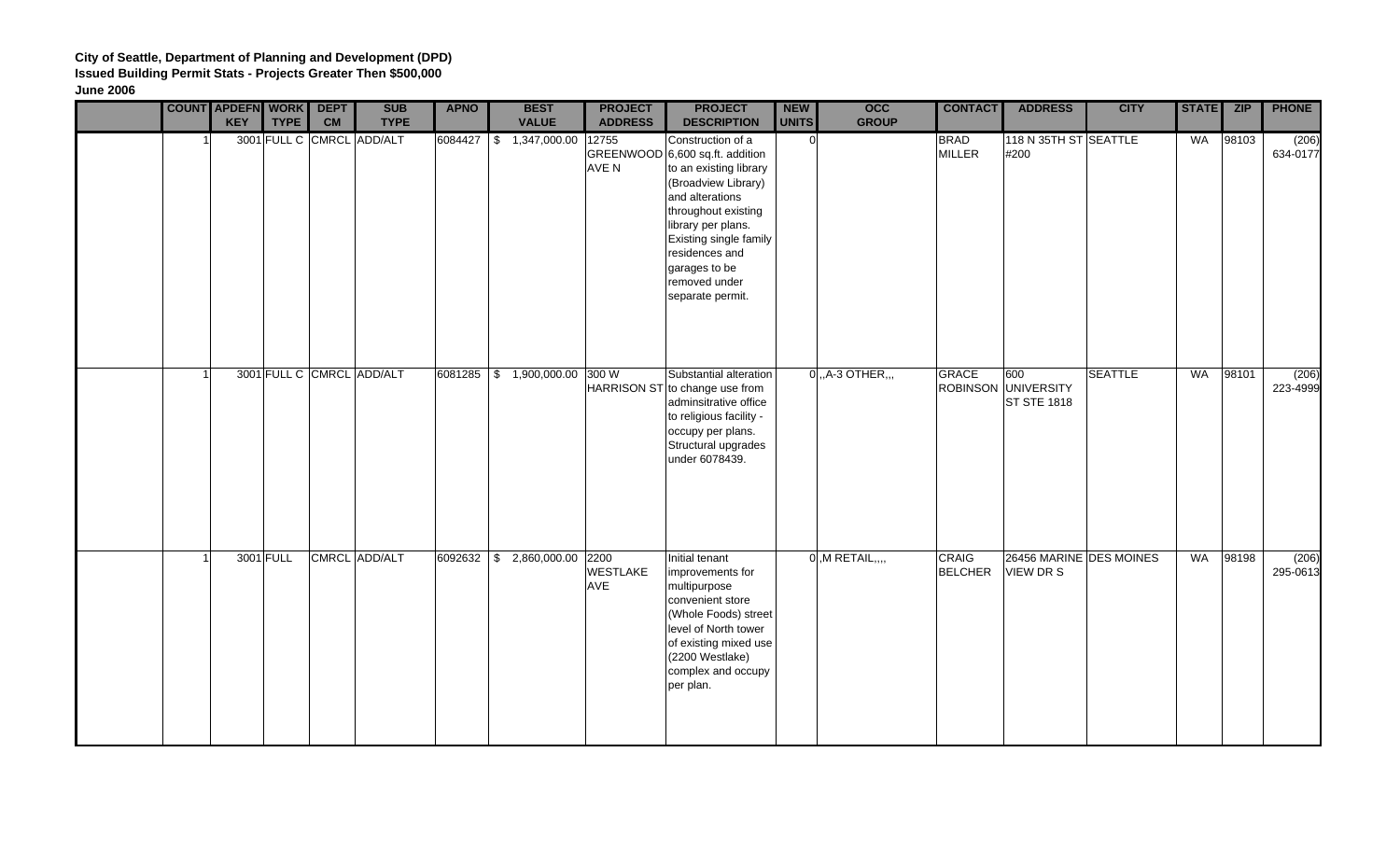|  | <b>COUNT APDEFN WORK DEPT</b><br><b>KEY</b> | <b>TYPE</b> | <b>CM</b> | <b>SUB</b><br><b>TYPE</b> | <b>APNO</b> | <b>BEST</b><br><b>VALUE</b>   | <b>PROJECT</b><br><b>ADDRESS</b> | <b>PROJECT</b><br><b>DESCRIPTION</b>                                                                                                                                                                                                                                    | <b>NEW</b><br><b>UNITS</b> | <b>OCC</b><br><b>GROUP</b> | <b>CONTACT</b>                 | <b>ADDRESS</b>                                   | <b>CITY</b>    | <b>STATE</b> | <b>ZIP</b> | <b>PHONE</b>      |
|--|---------------------------------------------|-------------|-----------|---------------------------|-------------|-------------------------------|----------------------------------|-------------------------------------------------------------------------------------------------------------------------------------------------------------------------------------------------------------------------------------------------------------------------|----------------------------|----------------------------|--------------------------------|--------------------------------------------------|----------------|--------------|------------|-------------------|
|  |                                             |             |           | 3001 FULL C CMRCL ADD/ALT | 6084427     | \$ 1,347,000.00               | 12755<br>AVE N                   | Construction of a<br>GREENWOOD 6,600 sq.ft. addition<br>to an existing library<br>(Broadview Library)<br>and alterations<br>throughout existing<br>library per plans.<br>Existing single family<br>residences and<br>garages to be<br>removed under<br>separate permit. | $\Omega$                   |                            | <b>BRAD</b><br><b>MILLER</b>   | 118 N 35TH ST SEATTLE<br>#200                    |                | WA           | 98103      | (206)<br>634-0177 |
|  |                                             |             |           | 3001 FULL C CMRCL ADD/ALT |             | 6081285 \$ 1,900,000.00 300 W |                                  | Substantial alteration<br>HARRISON ST to change use from<br>adminsitrative office<br>to religious facility -<br>occupy per plans.<br>Structural upgrades<br>under 6078439.                                                                                              |                            | $0, A-3$ OTHER,            | <b>GRACE</b>                   | 600<br>ROBINSON UNIVERSITY<br><b>ST STE 1818</b> | <b>SEATTLE</b> | <b>WA</b>    | 98101      | (206)<br>223-4999 |
|  |                                             | 3001 FULL   |           | CMRCL ADD/ALT             |             | 6092632 \$ 2,860,000.00 2200  | <b>WESTLAKE</b><br>AVE           | Initial tenant<br>improvements for<br>multipurpose<br>convenient store<br>(Whole Foods) street<br>level of North tower<br>of existing mixed use<br>(2200 Westlake)<br>complex and occupy<br>per plan.                                                                   |                            | $0, M$ RETAIL,,,,          | <b>CRAIG</b><br><b>BELCHER</b> | 26456 MARINE DES MOINES<br>VIEW DR S             |                | <b>WA</b>    | 98198      | (206)<br>295-0613 |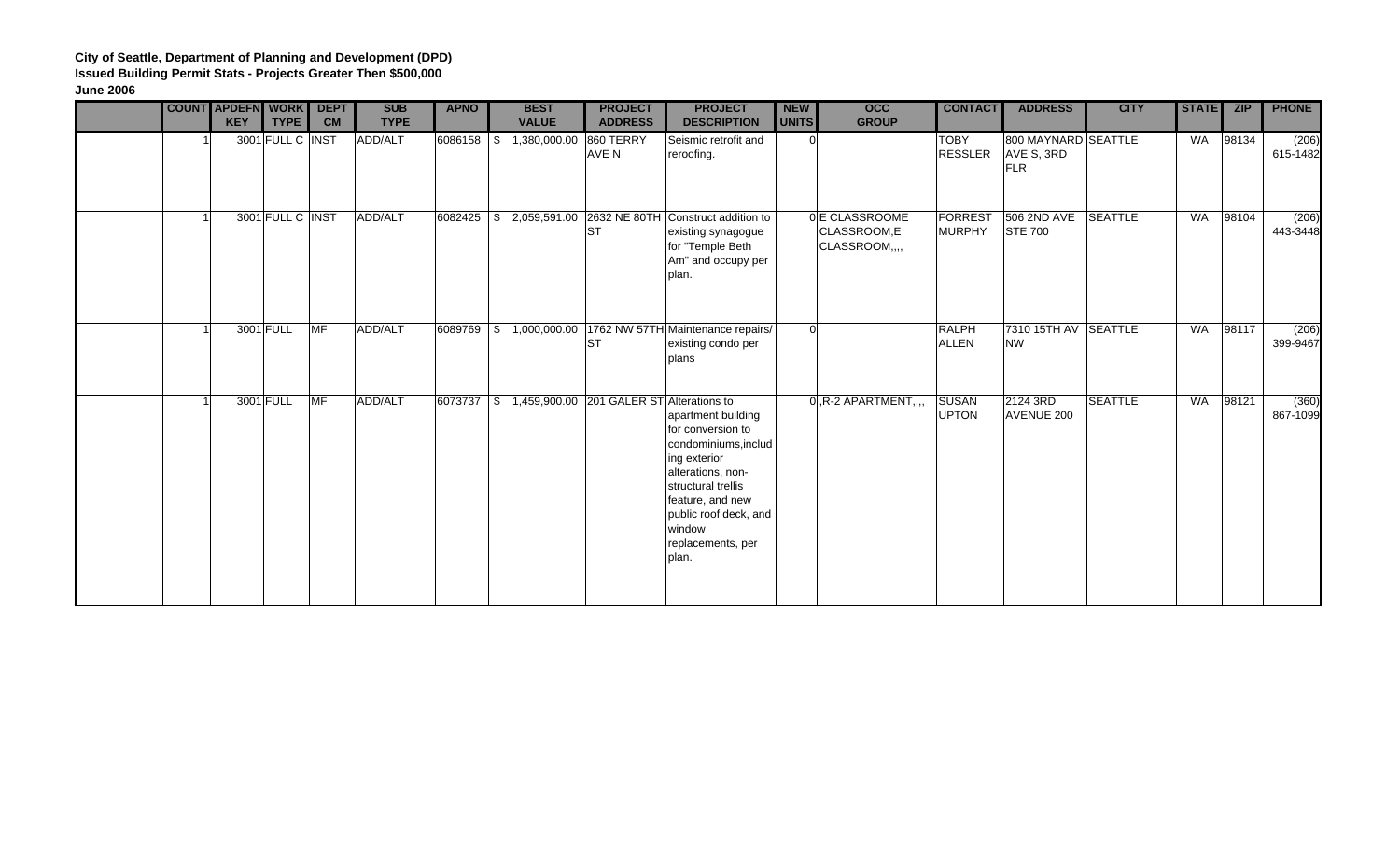|  | <b>COUNT APDEFN WORK</b><br><b>KEY</b> | <b>TYPE</b>      | <b>DEPT</b><br><b>CM</b> | <b>SUB</b><br><b>TYPE</b> | <b>APNO</b> | <b>BEST</b><br><b>VALUE</b> | <b>PROJECT</b><br><b>ADDRESS</b>                       | <b>PROJECT</b><br><b>DESCRIPTION</b>                                                                                                                                                                            | <b>NEW</b><br><b>UNITS</b> | <b>OCC</b><br><b>GROUP</b>                     | <b>CONTACT</b>                  | <b>ADDRESS</b>                                  | <b>CITY</b>    | <b>STATE</b> | <b>ZIP</b> | <b>PHONE</b>      |
|--|----------------------------------------|------------------|--------------------------|---------------------------|-------------|-----------------------------|--------------------------------------------------------|-----------------------------------------------------------------------------------------------------------------------------------------------------------------------------------------------------------------|----------------------------|------------------------------------------------|---------------------------------|-------------------------------------------------|----------------|--------------|------------|-------------------|
|  |                                        | 3001 FULL C INST |                          | ADD/ALT                   | 6086158 \$  | 1,380,000.00                | 860 TERRY<br>AVE N                                     | Seismic retrofit and<br>reroofing.                                                                                                                                                                              | 0l                         |                                                | <b>TOBY</b><br><b>RESSLER</b>   | 800 MAYNARD SEATTLE<br>AVE S, 3RD<br><b>FLR</b> |                | <b>WA</b>    | 98134      | (206)<br>615-1482 |
|  |                                        | 3001 FULL C INST |                          | ADD/ALT                   | 6082425     |                             | $\frac{1}{2}$ 2,059,591.00 2632 NE 80TH<br><b>ST</b>   | Construct addition to<br>existing synagogue<br>for "Temple Beth<br>Am" and occupy per<br>plan.                                                                                                                  |                            | 0 E CLASSROOME<br>CLASSROOM,E<br>CLASSROOM,,,, | <b>FORREST</b><br><b>MURPHY</b> | 506 2ND AVE<br><b>STE 700</b>                   | <b>SEATTLE</b> | <b>WA</b>    | 98104      | (206)<br>443-3448 |
|  |                                        | 3001 FULL        | <b>IMF</b>               | ADD/ALT                   |             |                             | <b>ST</b>                                              | 6089769 \$ 1,000,000.00 1762 NW 57TH Maintenance repairs/<br>existing condo per<br>plans                                                                                                                        | $\Omega$                   |                                                | <b>RALPH</b><br><b>ALLEN</b>    | 7310 15TH AV SEATTLE<br><b>NW</b>               |                | <b>WA</b>    | 98117      | (206)<br>399-9467 |
|  |                                        | 3001 FULL        | <b>MF</b>                | ADD/ALT                   | 6073737     |                             | $\frac{1}{3}$ 1,459,900.00 201 GALER ST Alterations to | apartment building<br>for conversion to<br>condominiums, includ<br>ing exterior<br>alterations, non-<br>structural trellis<br>feature, and new<br>public roof deck, and<br>window<br>replacements, per<br>plan. |                            | $0, R-2$ APARTMENT,                            | <b>SUSAN</b><br><b>UPTON</b>    | 2124 3RD<br>AVENUE 200                          | <b>SEATTLE</b> | <b>WA</b>    | 98121      | (360)<br>867-1099 |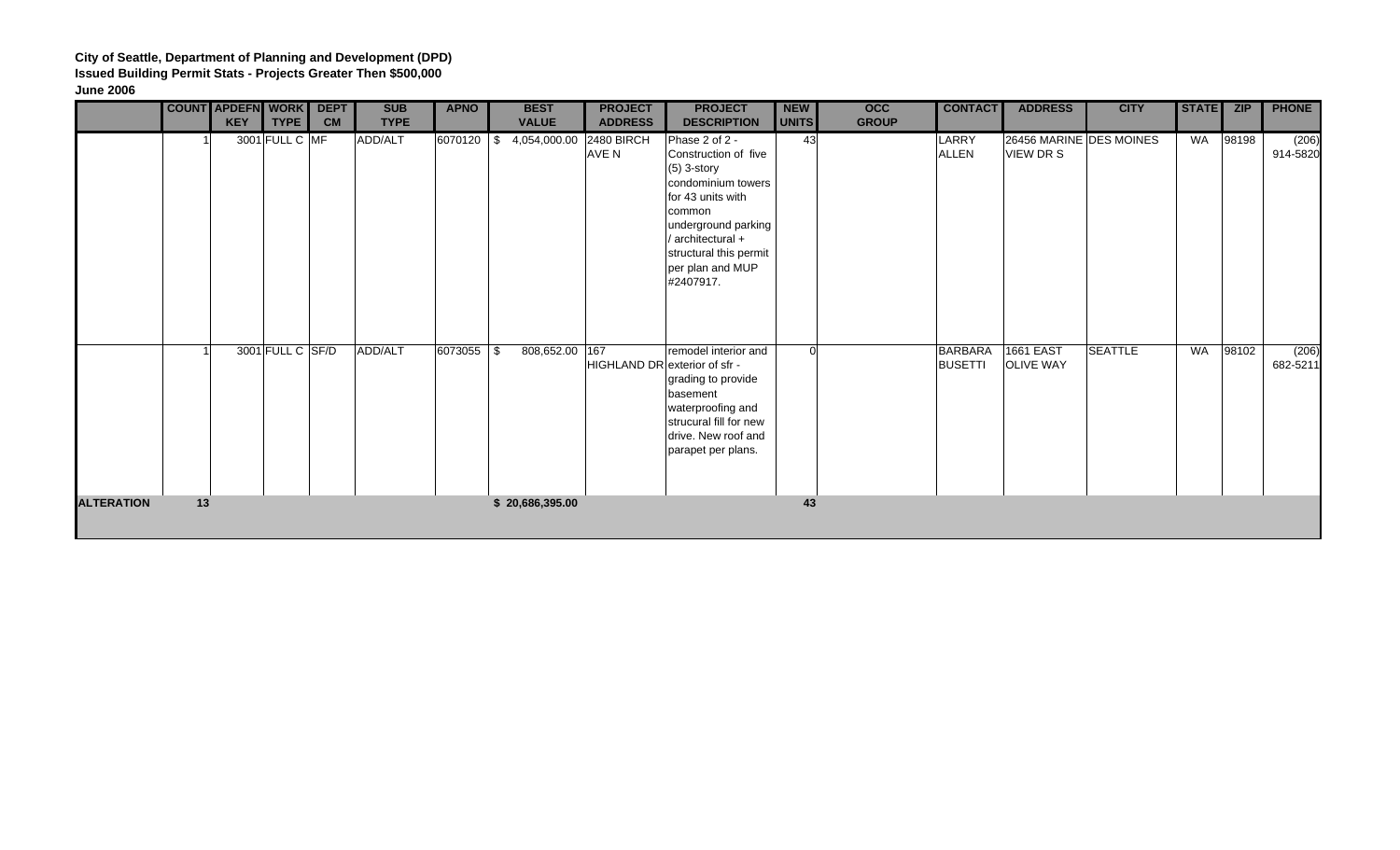|                   |    | <b>COUNT APDEFN WORK</b> |                  | <b>DEPT</b> | <b>SUB</b>  | <b>APNO</b> | <b>BEST</b>                   | <b>PROJECT</b>                       | <b>PROJECT</b>                                                                                                                                                                                                      | <b>NEW</b> | $\overline{occ}$ | <b>CONTACT</b>                   | <b>ADDRESS</b>                       | <b>CITY</b>             | STATE ZIP |       | <b>PHONE</b>      |
|-------------------|----|--------------------------|------------------|-------------|-------------|-------------|-------------------------------|--------------------------------------|---------------------------------------------------------------------------------------------------------------------------------------------------------------------------------------------------------------------|------------|------------------|----------------------------------|--------------------------------------|-------------------------|-----------|-------|-------------------|
|                   |    | <b>KEY</b>               | TYPE             | <b>CM</b>   | <b>TYPE</b> |             | <b>VALUE</b>                  | <b>ADDRESS</b>                       | <b>DESCRIPTION</b>                                                                                                                                                                                                  | UNITS      | <b>GROUP</b>     |                                  |                                      |                         |           |       |                   |
|                   |    |                          | 3001 FULL C MF   |             | ADD/ALT     | 6070120 \$  | 4,054,000.00                  | 2480 BIRCH<br>AVE N                  | Phase 2 of 2 -<br>Construction of five<br>$(5)$ 3-story<br>condominium towers<br>for 43 units with<br>common<br>underground parking<br>/ architectural +<br>structural this permit<br>per plan and MUP<br>#2407917. | 43         |                  | LARRY<br><b>ALLEN</b>            | VIEW DR S                            | 26456 MARINE DES MOINES | WA        | 98198 | (206)<br>914-5820 |
| <b>ALTERATION</b> | 13 |                          | 3001 FULL C SF/D |             | ADD/ALT     | 6073055 \$  | 808,652.00<br>\$20,686,395.00 | 167<br>HIGHLAND DR exterior of sfr - | remodel interior and<br>grading to provide<br>basement<br>waterproofing and<br>strucural fill for new<br>drive. New roof and<br>parapet per plans.                                                                  | 0l<br>43   |                  | <b>BARBARA</b><br><b>BUSETTI</b> | <b>1661 EAST</b><br><b>OLIVE WAY</b> | <b>SEATTLE</b>          | WA        | 98102 | (206)<br>682-5211 |
|                   |    |                          |                  |             |             |             |                               |                                      |                                                                                                                                                                                                                     |            |                  |                                  |                                      |                         |           |       |                   |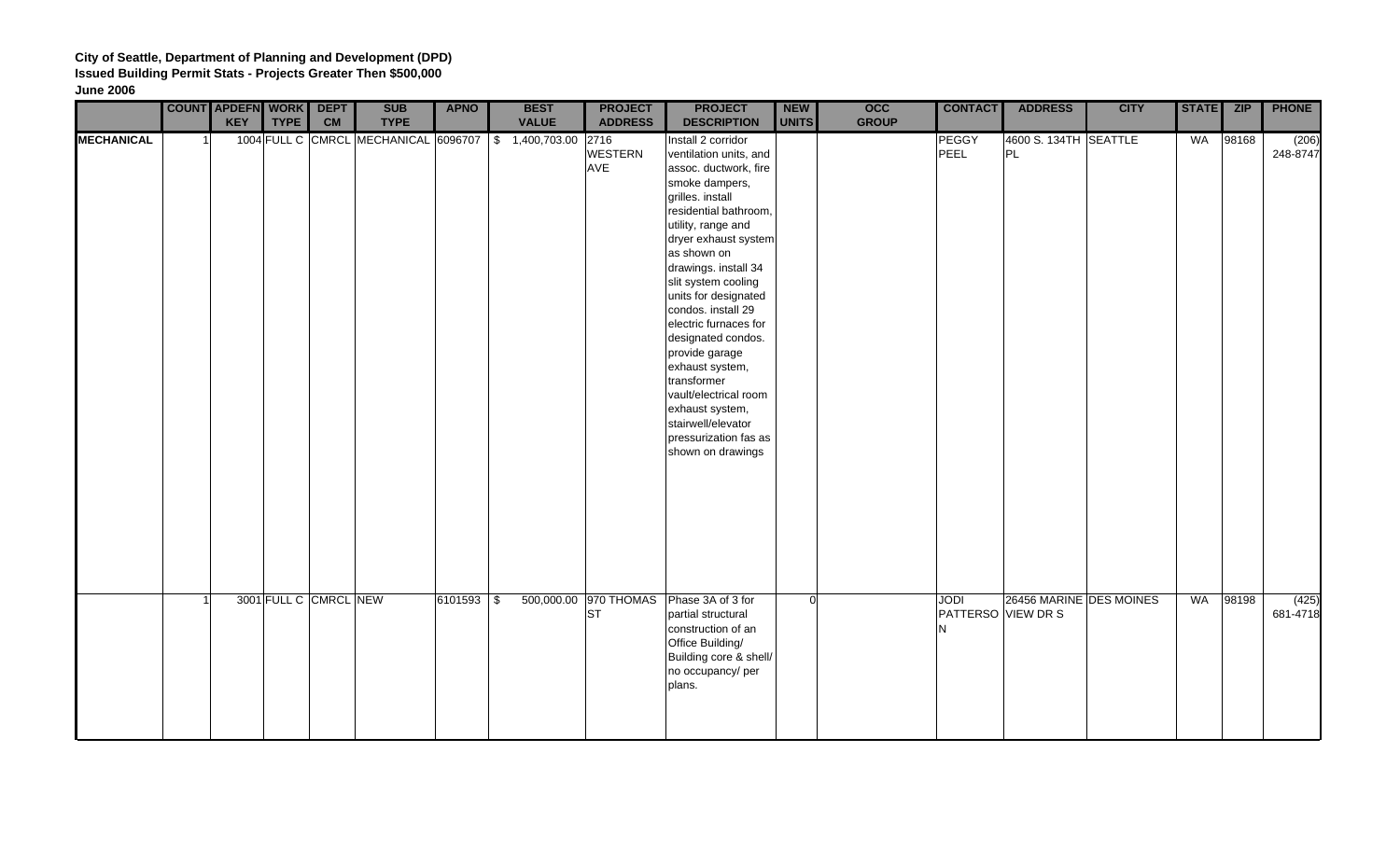|                   | <b>COUNT APDEFN WORK</b>  | <b>DEPT</b> | <b>SUB</b>                                           | <b>APNO</b>  | <b>BEST</b>  | <b>PROJECT</b>          | <b>PROJECT</b>                                                                                                                                                                                                                                                                                                                                                                                                                                                                                                    | <b>NEW</b> | $\overline{occ}$ | <b>CONTACT</b>                         | <b>ADDRESS</b>              | <b>CITY</b> | STATE ZIP |       | <b>PHONE</b>      |
|-------------------|---------------------------|-------------|------------------------------------------------------|--------------|--------------|-------------------------|-------------------------------------------------------------------------------------------------------------------------------------------------------------------------------------------------------------------------------------------------------------------------------------------------------------------------------------------------------------------------------------------------------------------------------------------------------------------------------------------------------------------|------------|------------------|----------------------------------------|-----------------------------|-------------|-----------|-------|-------------------|
|                   | <b>KEY</b><br><b>TYPE</b> | CM          | <b>TYPE</b>                                          |              | <b>VALUE</b> | <b>ADDRESS</b>          | <b>DESCRIPTION</b>                                                                                                                                                                                                                                                                                                                                                                                                                                                                                                | UNITS      | <b>GROUP</b>     |                                        |                             |             |           |       |                   |
| <b>MECHANICAL</b> |                           |             | 1004 FULL C CMRCL MECHANICAL 6096707 \$ 1,400,703.00 |              |              | 2716<br>WESTERN<br>AVE  | Install 2 corridor<br>ventilation units, and<br>assoc. ductwork, fire<br>smoke dampers,<br>grilles. install<br>residential bathroom,<br>utility, range and<br>dryer exhaust system<br>as shown on<br>drawings. install 34<br>slit system cooling<br>units for designated<br>condos. install 29<br>electric furnaces for<br>designated condos.<br>provide garage<br>exhaust system,<br>transformer<br>vault/electrical room<br>exhaust system,<br>stairwell/elevator<br>pressurization fas as<br>shown on drawings |            |                  | PEGGY<br>PEEL                          | 4600 S. 134TH SEATTLE<br>PL |             | WA        | 98168 | (206)<br>248-8747 |
|                   | 3001 FULL C CMRCL NEW     |             |                                                      | $6101593$ \$ | 500,000.00   | 970 THOMAS<br><b>ST</b> | Phase 3A of 3 for<br>partial structural<br>construction of an<br>Office Building/<br>Building core & shell/<br>no occupancy/ per<br>plans.                                                                                                                                                                                                                                                                                                                                                                        | $\Omega$   |                  | <b>JODI</b><br>PATTERSO VIEW DR S<br>N | 26456 MARINE DES MOINES     |             | WA        | 98198 | (425)<br>681-4718 |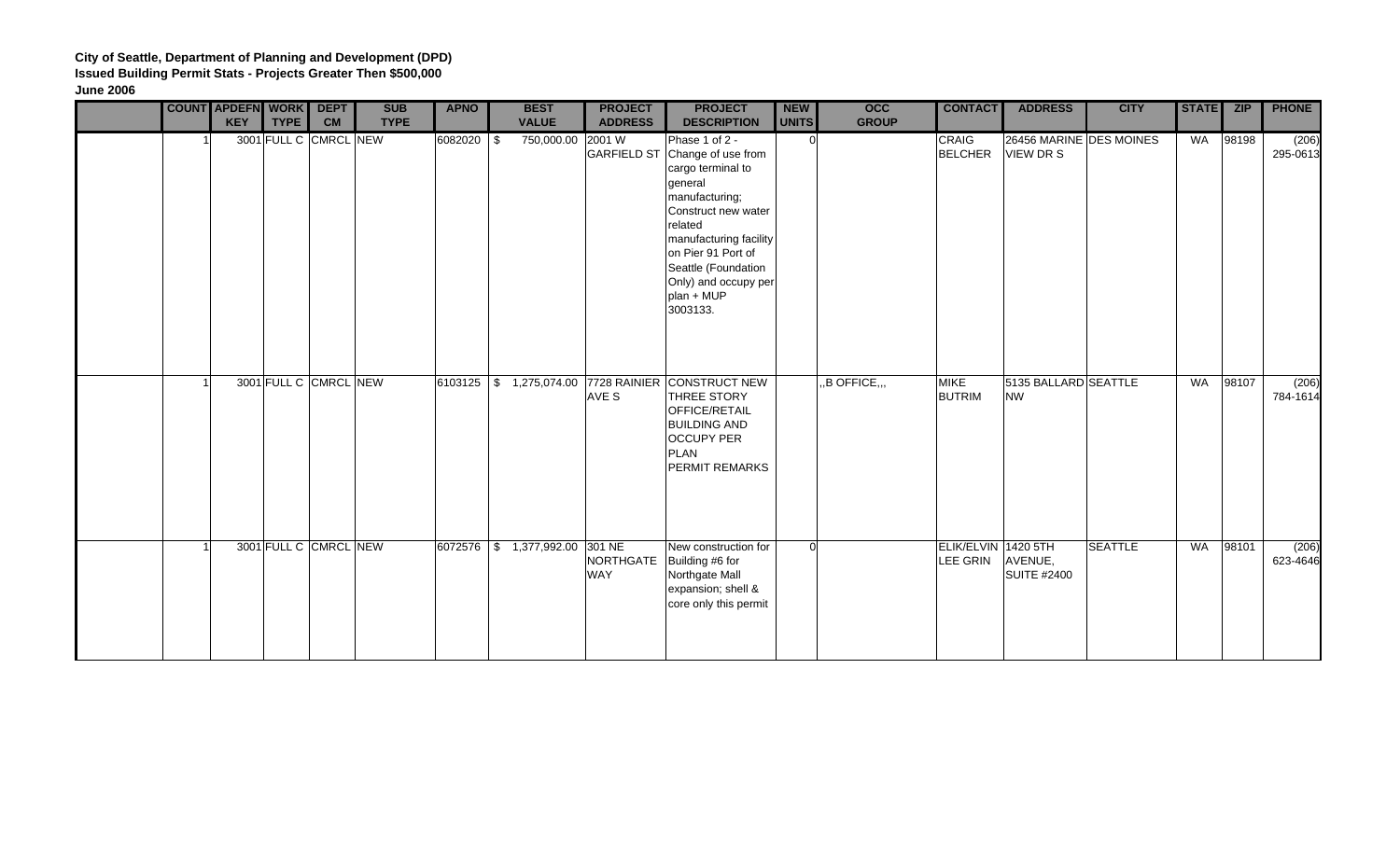|  | <b>COUNT APDEFN WORK DEPT</b><br><b>KEY</b><br><b>TYPE</b> | <b>CM</b> | <b>SUB</b><br><b>TYPE</b> | <b>APNO</b> | <b>BEST</b><br><b>VALUE</b> | <b>PROJECT</b><br><b>ADDRESS</b> | <b>PROJECT</b><br><b>DESCRIPTION</b>                                                                                                                                                                                                                          | <b>NEW</b><br><b>UNITS</b> | $\overline{occ}$<br><b>GROUP</b> | <b>CONTACT</b>                  | <b>ADDRESS</b>                       | <b>CITY</b>    | STATE ZIP |       | <b>PHONE</b>      |
|--|------------------------------------------------------------|-----------|---------------------------|-------------|-----------------------------|----------------------------------|---------------------------------------------------------------------------------------------------------------------------------------------------------------------------------------------------------------------------------------------------------------|----------------------------|----------------------------------|---------------------------------|--------------------------------------|----------------|-----------|-------|-------------------|
|  | 3001 FULL C CMRCL NEW                                      |           |                           | 6082020 \$  | 750,000.00 2001 W           |                                  | Phase 1 of 2 -<br>GARFIELD ST Change of use from<br>cargo terminal to<br>general<br>manufacturing;<br>Construct new water<br>related<br>manufacturing facility<br>on Pier 91 Port of<br>Seattle (Foundation<br>Only) and occupy per<br>plan + MUP<br>3003133. | n.                         |                                  | CRAIG<br><b>BELCHER</b>         | 26456 MARINE DES MOINES<br>VIEW DR S |                | WA        | 98198 | (206)<br>295-0613 |
|  | 3001 FULL C CMRCL NEW                                      |           |                           |             |                             | AVE S                            | 6103125 \$ 1,275,074.00 7728 RAINIER CONSTRUCT NEW<br>THREE STORY<br><b>OFFICE/RETAIL</b><br><b>BUILDING AND</b><br><b>OCCUPY PER</b><br><b>PLAN</b><br>PERMIT REMARKS                                                                                        |                            | ,B OFFICE,,,                     | <b>MIKE</b><br><b>BUTRIM</b>    | 5135 BALLARD SEATTLE<br><b>NW</b>    |                | <b>WA</b> | 98107 | (206)<br>784-1614 |
|  | 3001 FULL C CMRCL NEW                                      |           |                           |             | 6072576 \$ 1,377,992.00     | 301 NE<br><b>WAY</b>             | New construction for<br>NORTHGATE   Building #6 for<br>Northgate Mall<br>expansion; shell &<br>core only this permit                                                                                                                                          | $\Omega$                   |                                  | ELIK/ELVIN 1420 5TH<br>LEE GRIN | AVENUE,<br><b>SUITE #2400</b>        | <b>SEATTLE</b> | WA        | 98101 | (206)<br>623-4646 |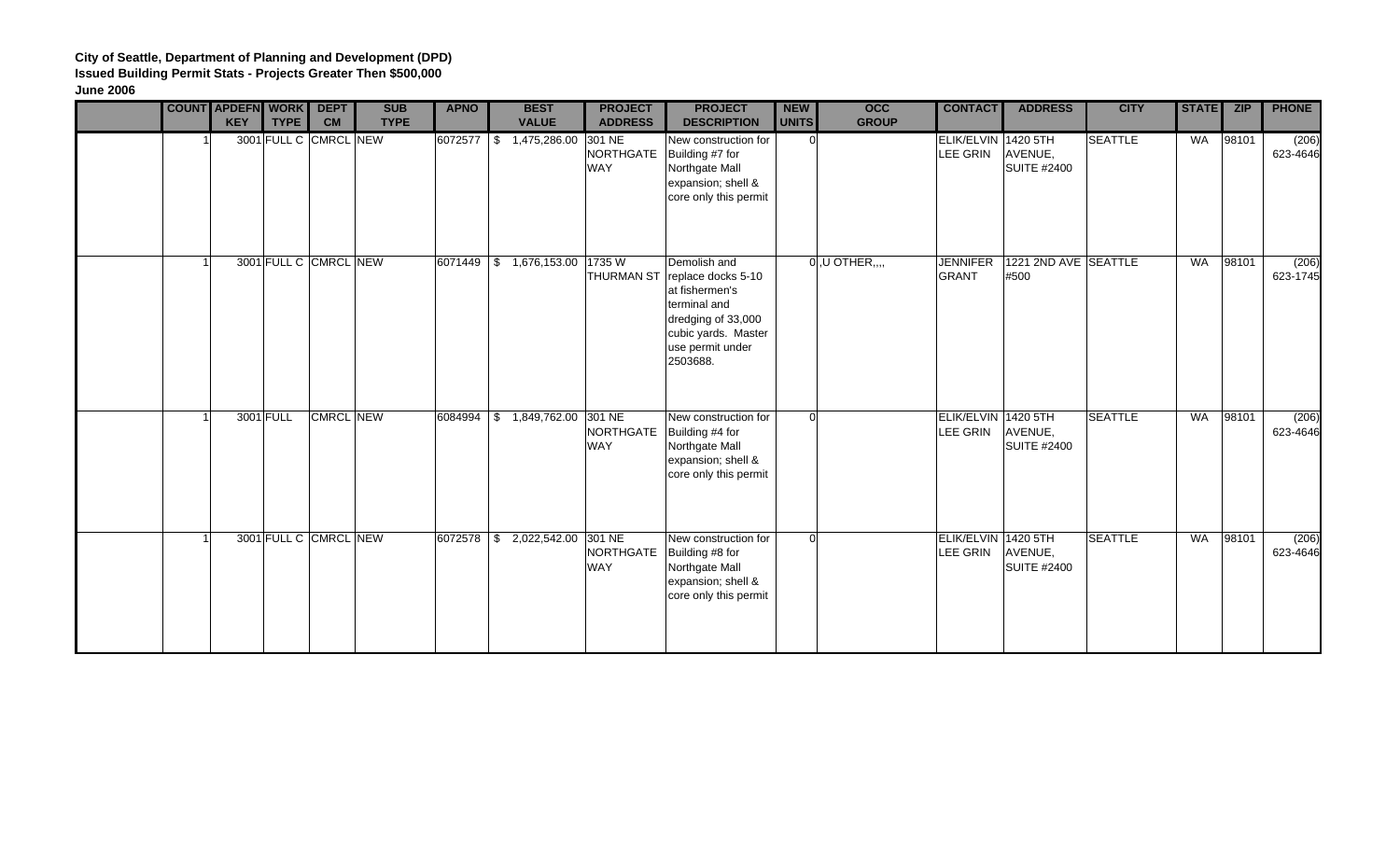|  | <b>COUNT APDEFN WORK</b><br><b>KEY</b><br><b>TYPE</b> | <b>DEPT</b><br><b>CM</b> | <b>SUB</b><br><b>TYPE</b> | <b>APNO</b> | <b>BEST</b><br><b>VALUE</b>       | <b>PROJECT</b><br><b>ADDRESS</b>  | <b>PROJECT</b><br><b>DESCRIPTION</b>                                                                                                                         | <b>NEW</b><br><b>UNITS</b> | <b>OCC</b><br><b>GROUP</b> | <b>CONTACT</b>                  | <b>ADDRESS</b>                | <b>CITY</b>    | STATE     | <b>ZIP</b> | <b>PHONE</b>      |
|--|-------------------------------------------------------|--------------------------|---------------------------|-------------|-----------------------------------|-----------------------------------|--------------------------------------------------------------------------------------------------------------------------------------------------------------|----------------------------|----------------------------|---------------------------------|-------------------------------|----------------|-----------|------------|-------------------|
|  | 3001 FULL C CMRCL NEW                                 |                          |                           |             | $6072577$ \\$ 1,475,286.00        | 301 NE<br>NORTHGATE<br><b>WAY</b> | New construction for<br>Building #7 for<br>Northgate Mall<br>expansion; shell &<br>core only this permit                                                     | ി                          |                            | ELIK/ELVIN 1420 5TH<br>LEE GRIN | AVENUE,<br><b>SUITE #2400</b> | <b>SEATTLE</b> | <b>WA</b> | 98101      | (206)<br>623-4646 |
|  | 3001 FULL C CMRCL NEW                                 |                          |                           |             | 6071449 \$ 1,676,153.00 1735 W    |                                   | Demolish and<br>THURMAN ST replace docks 5-10<br>at fishermen's<br>terminal and<br>dredging of 33,000<br>cubic yards. Master<br>use permit under<br>2503688. |                            | $[0, U$ OTHER, $, \ldots$  | <b>JENNIFER</b><br><b>GRANT</b> | 1221 2ND AVE SEATTLE<br>#500  |                | WA        | 98101      | (206)<br>623-1745 |
|  | 3001 FULL                                             | CMRCL NEW                |                           | 6084994     | $\frac{1}{3}$ 1,849,762.00 301 NE | NORTHGATE<br><b>WAY</b>           | New construction for<br>Building #4 for<br>Northgate Mall<br>expansion; shell &<br>core only this permit                                                     | $\Omega$                   |                            | ELIK/ELVIN 1420 5TH<br>LEE GRIN | AVENUE,<br><b>SUITE #2400</b> | <b>SEATTLE</b> | WA        | 98101      | (206)<br>623-4646 |
|  | 3001 FULL C CMRCL NEW                                 |                          |                           |             | 6072578 \$ 2,022,542.00           | 301 NE<br>NORTHGATE<br><b>WAY</b> | New construction for<br>Building #8 for<br>Northgate Mall<br>expansion; shell &<br>core only this permit                                                     | $\Omega$                   |                            | ELIK/ELVIN 1420 5TH<br>LEE GRIN | AVENUE,<br><b>SUITE #2400</b> | <b>SEATTLE</b> | <b>WA</b> | 98101      | (206)<br>623-4646 |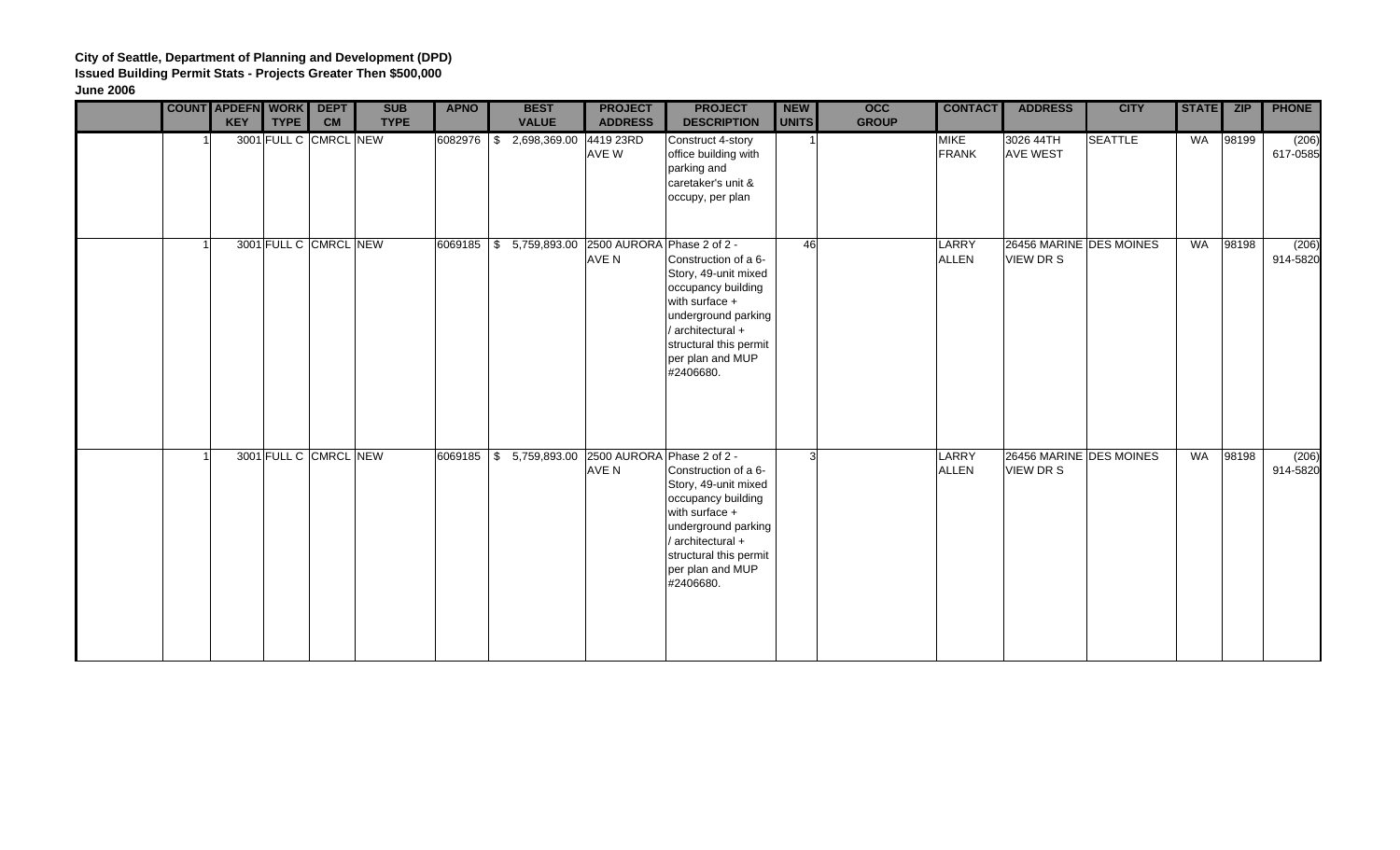|  | <b>COUNT APDEFN WORK DEPT</b><br><b>KEY</b> | <b>TYPE</b> | CM                    | <b>SUB</b><br><b>TYPE</b> | <b>APNO</b> | <b>BEST</b><br><b>VALUE</b>                          | <b>PROJECT</b><br><b>ADDRESS</b> | <b>PROJECT</b><br><b>DESCRIPTION</b>                                                                                                                                                        | <b>NEW</b><br><b>UNITS</b> | <b>OCC</b><br><b>GROUP</b> | <b>CONTACT</b>              | <b>ADDRESS</b>                       | <b>CITY</b>    | <b>STATE</b> | <b>ZIP</b> | <b>PHONE</b>      |
|--|---------------------------------------------|-------------|-----------------------|---------------------------|-------------|------------------------------------------------------|----------------------------------|---------------------------------------------------------------------------------------------------------------------------------------------------------------------------------------------|----------------------------|----------------------------|-----------------------------|--------------------------------------|----------------|--------------|------------|-------------------|
|  |                                             |             | 3001 FULL C CMRCL NEW |                           | 6082976 \$  | 2,698,369.00 4419 23RD                               | AVE W                            | Construct 4-story<br>office building with<br>parking and<br>caretaker's unit &<br>occupy, per plan                                                                                          |                            |                            | <b>MIKE</b><br><b>FRANK</b> | 3026 44TH<br><b>AVE WEST</b>         | <b>SEATTLE</b> | WA           | 98199      | (206)<br>617-0585 |
|  |                                             |             | 3001 FULL C CMRCL NEW |                           |             | 6069185 \$ 5,759,893.00 2500 AURORA Phase 2 of 2 -   | AVE N                            | Construction of a 6-<br>Story, 49-unit mixed<br>occupancy building<br>with surface +<br>underground parking<br>/ architectural +<br>structural this permit<br>per plan and MUP<br>#2406680. | 46                         |                            | LARRY<br><b>ALLEN</b>       | 26456 MARINE DES MOINES<br>VIEW DR S |                | WA           | 98198      | (206)<br>914-5820 |
|  |                                             |             | 3001 FULL C CMRCL NEW |                           |             | 6069185   \$ 5,759,893.00 2500 AURORA Phase 2 of 2 - | AVE N                            | Construction of a 6-<br>Story, 49-unit mixed<br>occupancy building<br>with surface +<br>underground parking<br>/ architectural +<br>structural this permit<br>per plan and MUP<br>#2406680. | $\overline{3}$             |                            | LARRY<br><b>ALLEN</b>       | 26456 MARINE DES MOINES<br>VIEW DR S |                | WA           | 98198      | (206)<br>914-5820 |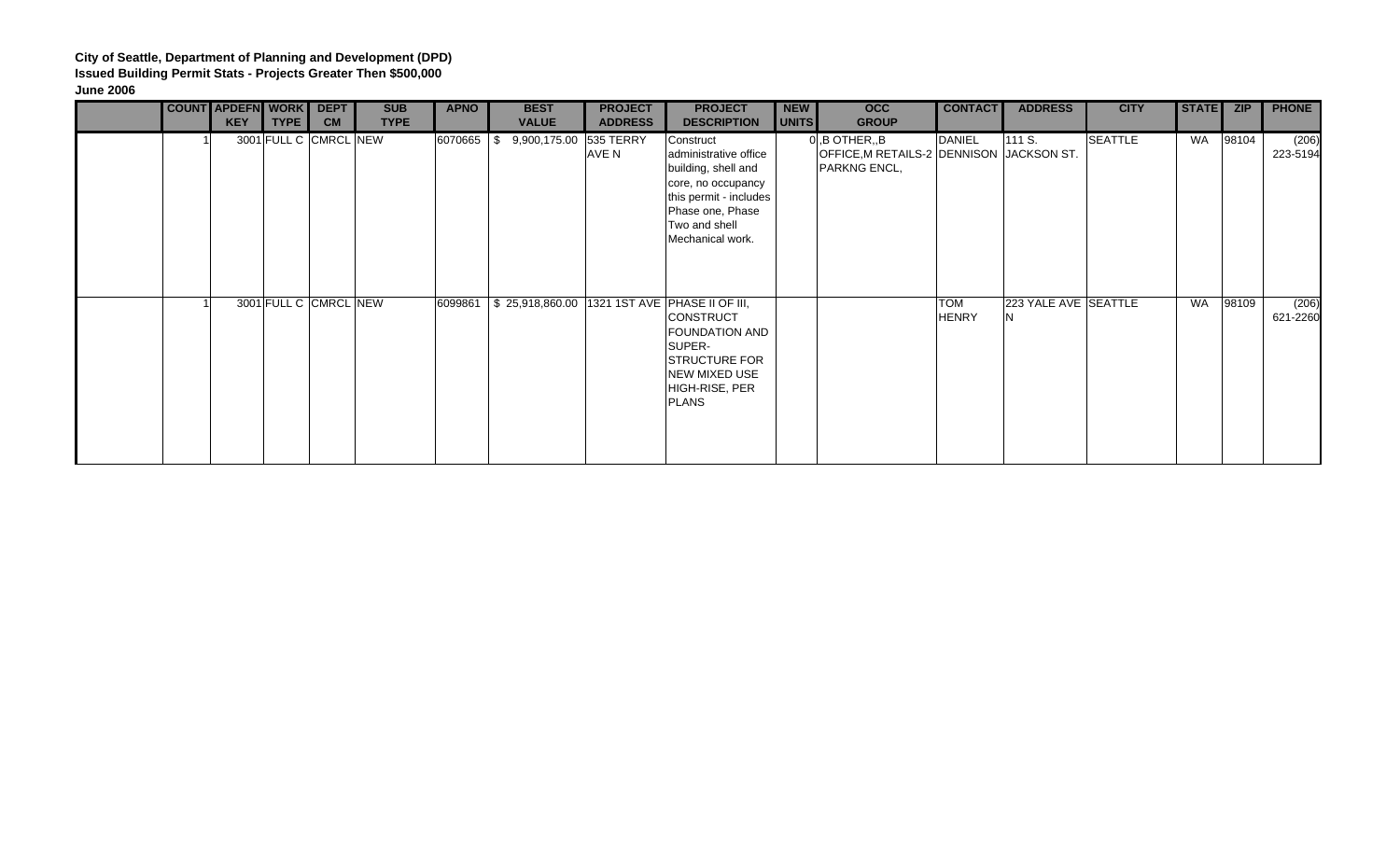|  | <b>COUNT APDEFN WORK</b><br><b>KEY</b> | <b>TYPE</b>           | <b>DEPT</b><br><b>CM</b> | <b>SUB</b><br><b>TYPE</b> | <b>APNO</b> | <b>BEST</b><br><b>VALUE</b>                       | <b>PROJECT</b><br><b>ADDRESS</b> | <b>PROJECT</b><br><b>DESCRIPTION</b>                                                                                                                               | <b>NEW</b><br>UNITS | <b>OCC</b><br><b>GROUP</b>                                                   | <b>CONTACT</b>             | <b>ADDRESS</b>       | <b>CITY</b>    | <b>STATE</b> | <b>ZIP</b> | <b>PHONE</b>      |
|--|----------------------------------------|-----------------------|--------------------------|---------------------------|-------------|---------------------------------------------------|----------------------------------|--------------------------------------------------------------------------------------------------------------------------------------------------------------------|---------------------|------------------------------------------------------------------------------|----------------------------|----------------------|----------------|--------------|------------|-------------------|
|  |                                        | 3001 FULL C CMRCL NEW |                          |                           | 6070665 \$  | 9,900,175.00 535 TERRY                            | AVE N                            | Construct<br>administrative office<br>building, shell and<br>core, no occupancy<br>this permit - includes<br>Phase one, Phase<br>Two and shell<br>Mechanical work. |                     | $0$ , B OTHER, B<br>OFFICE, M RETAILS-2 DENNISON JACKSON ST.<br>PARKNG ENCL, | <b>DANIEL</b>              | 111 S.               | <b>SEATTLE</b> | WA           | 98104      | (206)<br>223-5194 |
|  |                                        | 3001 FULL C CMRCL NEW |                          |                           | 6099861     | \$25,918,860.00   1321 1ST AVE   PHASE II OF III, |                                  | CONSTRUCT<br><b>FOUNDATION AND</b><br>SUPER-<br><b>STRUCTURE FOR</b><br>NEW MIXED USE<br>HIGH-RISE, PER<br><b>PLANS</b>                                            |                     |                                                                              | <b>TOM</b><br><b>HENRY</b> | 223 YALE AVE SEATTLE |                | <b>WA</b>    | 98109      | (206)<br>621-2260 |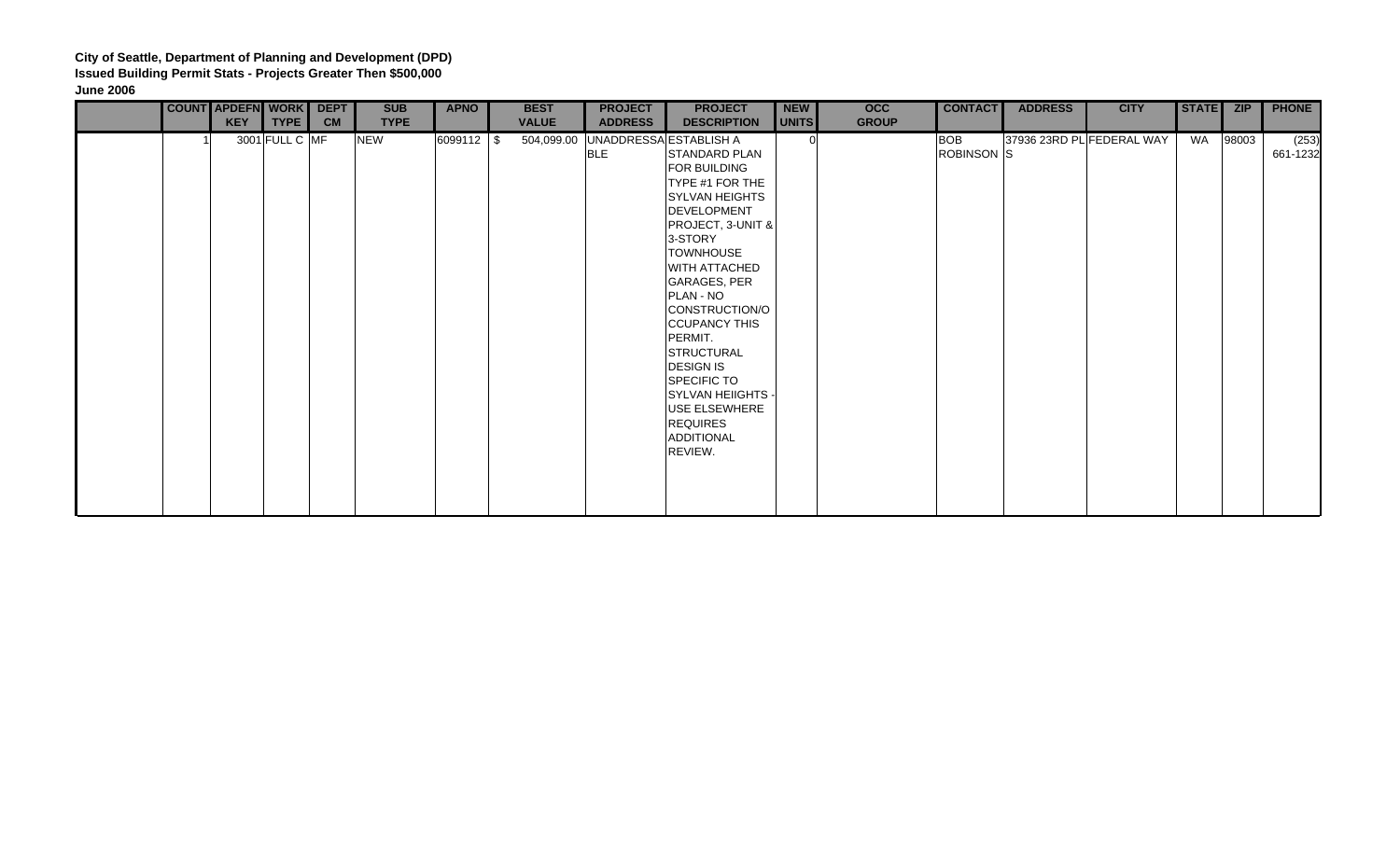|  | COUNT APDEFN WORK DEPT |                |           | <b>SUB</b>  | <b>APNO</b> | <b>BEST</b>  | <b>PROJECT</b>                                  | <b>PROJECT</b>                                                                                                                                                                                                                                                                                                                                                                            | <b>NEW</b>   | <b>OCC</b>   | <b>CONTACT</b>           | <b>ADDRESS</b> | <b>CITY</b>               | STATE ZIP |       | <b>PHONE</b>      |
|--|------------------------|----------------|-----------|-------------|-------------|--------------|-------------------------------------------------|-------------------------------------------------------------------------------------------------------------------------------------------------------------------------------------------------------------------------------------------------------------------------------------------------------------------------------------------------------------------------------------------|--------------|--------------|--------------------------|----------------|---------------------------|-----------|-------|-------------------|
|  | <b>KEY</b>             | TYPE           | <b>CM</b> | <b>TYPE</b> |             | <b>VALUE</b> | <b>ADDRESS</b>                                  | <b>DESCRIPTION</b>                                                                                                                                                                                                                                                                                                                                                                        | <b>UNITS</b> | <b>GROUP</b> |                          |                |                           |           |       |                   |
|  |                        | 3001 FULL C MF |           | <b>NEW</b>  | 6099112 \$  |              | 504,099.00 UNADDRESSA ESTABLISH A<br><b>BLE</b> | STANDARD PLAN<br>FOR BUILDING<br>TYPE #1 FOR THE<br><b>SYLVAN HEIGHTS</b><br>DEVELOPMENT<br>PROJECT, 3-UNIT &<br>3-STORY<br><b>TOWNHOUSE</b><br>WITH ATTACHED<br>GARAGES, PER<br>PLAN - NO<br>CONSTRUCTION/O<br><b>CCUPANCY THIS</b><br>PERMIT.<br>STRUCTURAL<br><b>DESIGN IS</b><br><b>SPECIFIC TO</b><br>SYLVAN HEIIGHTS -<br>USE ELSEWHERE<br><b>REQUIRES</b><br>ADDITIONAL<br>REVIEW. | 0l           |              | <b>BOB</b><br>ROBINSON S |                | 37936 23RD PL FEDERAL WAY | WA        | 98003 | (253)<br>661-1232 |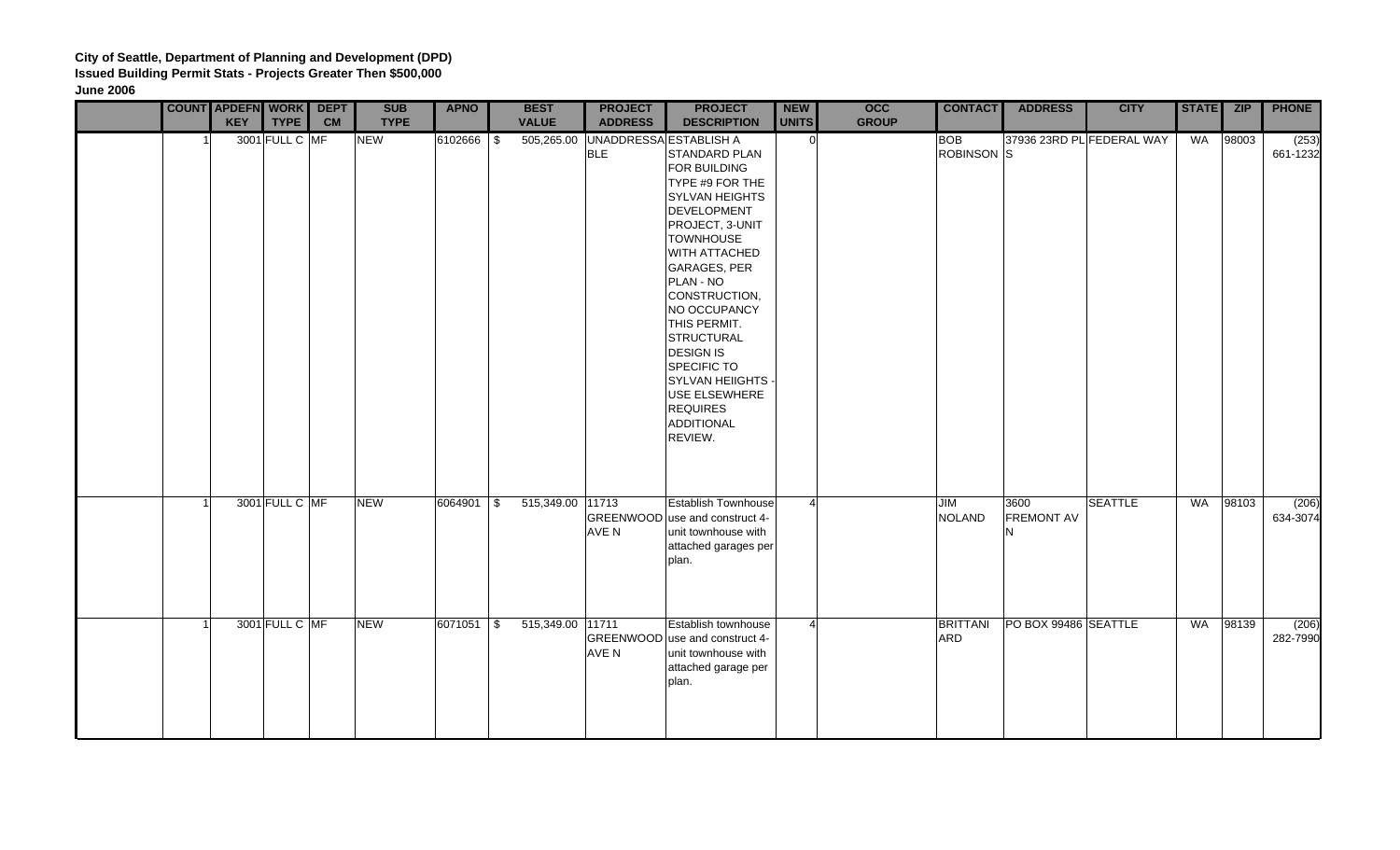|  | <b>COUNT APDEFN WORK DEPT</b> |                |           | <b>SUB</b>  | <b>APNO</b> | <b>BEST</b>      | <b>PROJECT</b> | <b>PROJECT</b>                                                                                                                                                                                                                                                                                                                                                                                                               | <b>NEW</b>     | <b>OCC</b>   | <b>CONTACT</b>           | <b>ADDRESS</b>                 | <b>CITY</b>               | STATE ZIP |       | <b>PHONE</b>      |
|--|-------------------------------|----------------|-----------|-------------|-------------|------------------|----------------|------------------------------------------------------------------------------------------------------------------------------------------------------------------------------------------------------------------------------------------------------------------------------------------------------------------------------------------------------------------------------------------------------------------------------|----------------|--------------|--------------------------|--------------------------------|---------------------------|-----------|-------|-------------------|
|  | <b>KEY</b>                    | <b>TYPE</b>    | <b>CM</b> | <b>TYPE</b> |             | <b>VALUE</b>     | <b>ADDRESS</b> | <b>DESCRIPTION</b>                                                                                                                                                                                                                                                                                                                                                                                                           | <b>UNITS</b>   | <b>GROUP</b> |                          |                                |                           |           |       |                   |
|  |                               | 3001 FULL C MF |           | <b>NEW</b>  | 6102666 \$  | 505,265.00       | <b>BLE</b>     | UNADDRESSA ESTABLISH A<br>STANDARD PLAN<br>FOR BUILDING<br>TYPE #9 FOR THE<br><b>SYLVAN HEIGHTS</b><br><b>DEVELOPMENT</b><br>PROJECT, 3-UNIT<br><b>TOWNHOUSE</b><br>WITH ATTACHED<br><b>GARAGES, PER</b><br>PLAN - NO<br>CONSTRUCTION,<br>NO OCCUPANCY<br>THIS PERMIT.<br><b>STRUCTURAL</b><br><b>DESIGN IS</b><br><b>SPECIFIC TO</b><br><b>SYLVAN HEIIGHTS</b><br>USE ELSEWHERE<br><b>REQUIRES</b><br>ADDITIONAL<br>REVIEW. | $\Omega$       |              | <b>BOB</b><br>ROBINSON S |                                | 37936 23RD PL FEDERAL WAY | WA        | 98003 | (253)<br>661-1232 |
|  |                               | 3001 FULL C MF |           | <b>NEW</b>  | 6064901 \$  | 515,349.00 11713 | AVE N          | <b>Establish Townhouse</b><br>GREENWOOD use and construct 4-<br>unit townhouse with<br>attached garages per<br>plan.                                                                                                                                                                                                                                                                                                         | $\Delta$       |              | JIM<br><b>NOLAND</b>     | 3600<br><b>FREMONT AV</b><br>N | <b>SEATTLE</b>            | WA        | 98103 | (206)<br>634-3074 |
|  |                               | 3001 FULL C MF |           | <b>NEW</b>  | 6071051 \$  | 515,349.00 11711 | AVE N          | Establish townhouse<br>GREENWOOD use and construct 4-<br>unit townhouse with<br>attached garage per<br>plan.                                                                                                                                                                                                                                                                                                                 | $\overline{4}$ |              | <b>BRITTANI</b><br>ARD   | PO BOX 99486 SEATTLE           |                           | WA        | 98139 | (206)<br>282-7990 |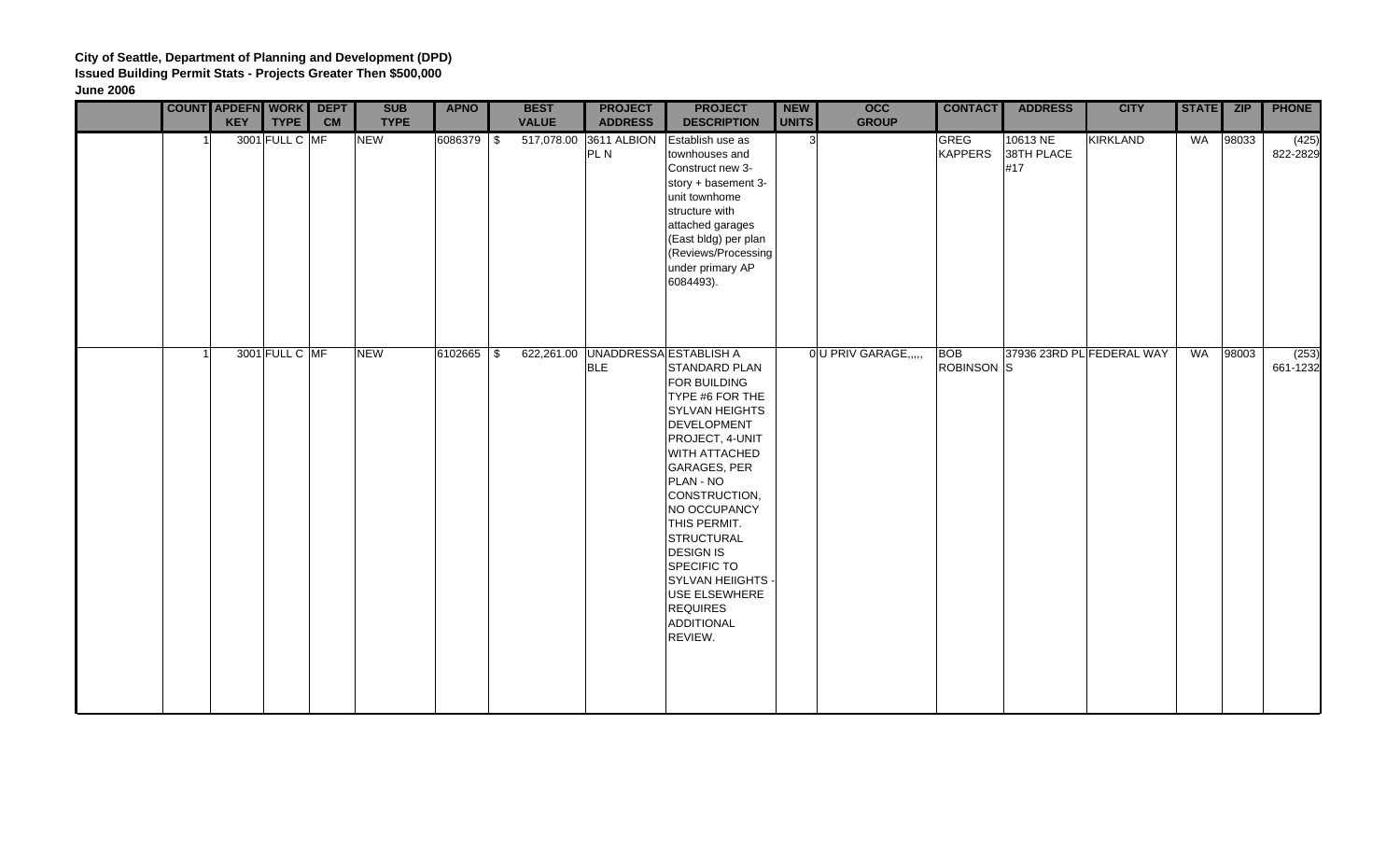|  | <b>COUNT APDEFN WORK</b><br><b>KEY</b> | <b>TYPE</b>    | <b>DEPT</b><br><b>CM</b> | <b>SUB</b><br><b>TYPE</b> | <b>APNO</b> | <b>BEST</b><br><b>VALUE</b> | <b>PROJECT</b><br><b>ADDRESS</b>                | <b>PROJECT</b><br><b>DESCRIPTION</b>                                                                                                                                                                                                                                                                                                                 | <b>NEW</b><br>UNITS | $\overline{occ}$<br><b>GROUP</b> | <b>CONTACT</b>                | <b>ADDRESS</b>                | <b>CITY</b>               | STATE ZIP |       | <b>PHONE</b>      |
|--|----------------------------------------|----------------|--------------------------|---------------------------|-------------|-----------------------------|-------------------------------------------------|------------------------------------------------------------------------------------------------------------------------------------------------------------------------------------------------------------------------------------------------------------------------------------------------------------------------------------------------------|---------------------|----------------------------------|-------------------------------|-------------------------------|---------------------------|-----------|-------|-------------------|
|  |                                        | 3001 FULL C MF |                          | <b>NEW</b>                | 6086379 \$  |                             | 517,078.00 3611 ALBION<br>PL N                  | Establish use as<br>townhouses and<br>Construct new 3-<br>story + basement 3-<br>unit townhome<br>structure with<br>attached garages<br>(East bldg) per plan<br>(Reviews/Processing<br>under primary AP<br>6084493).                                                                                                                                 | 3 <sup>l</sup>      |                                  | <b>GREG</b><br><b>KAPPERS</b> | 10613 NE<br>38TH PLACE<br>#17 | KIRKLAND                  | WA        | 98033 | (425)<br>822-2829 |
|  |                                        | 3001 FULL C MF |                          | <b>NEW</b>                | 6102665 \$  |                             | 622,261.00 UNADDRESSA ESTABLISH A<br><b>BLE</b> | STANDARD PLAN<br>FOR BUILDING<br>TYPE #6 FOR THE<br><b>SYLVAN HEIGHTS</b><br>DEVELOPMENT<br>PROJECT, 4-UNIT<br>WITH ATTACHED<br>GARAGES, PER<br>PLAN - NO<br>CONSTRUCTION,<br>NO OCCUPANCY<br>THIS PERMIT.<br>STRUCTURAL<br><b>DESIGN IS</b><br>SPECIFIC TO<br>SYLVAN HEIIGHTS -<br>USE ELSEWHERE<br><b>REQUIRES</b><br><b>ADDITIONAL</b><br>REVIEW. |                     | 0 U PRIV GARAGE,                 | <b>BOB</b><br>ROBINSON S      |                               | 37936 23RD PL FEDERAL WAY | WA        | 98003 | (253)<br>661-1232 |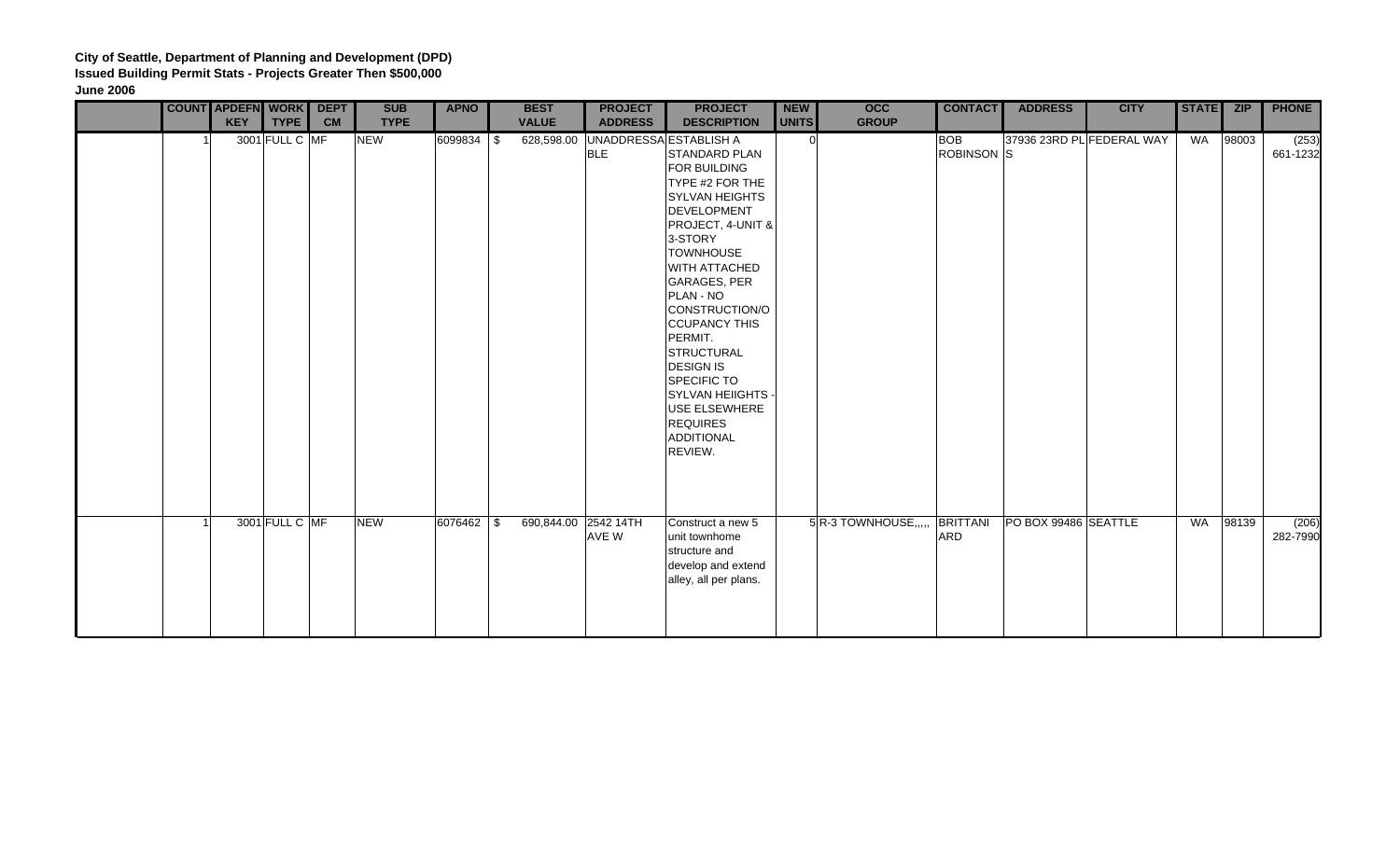|  | <b>COUNT APDEFN WORK DEPT</b><br><b>KEY</b> | <b>TYPE</b>    | <b>CM</b> | <b>SUB</b><br><b>TYPE</b> | <b>APNO</b> | <b>BEST</b><br><b>VALUE</b> | <b>PROJECT</b><br><b>ADDRESS</b> | <b>PROJECT</b><br><b>DESCRIPTION</b>                                                                                                                                                                                                                                                                                                                                                                                                            | <b>NEW</b><br><b>UNITS</b> | <b>OCC</b><br><b>GROUP</b> | <b>CONTACT</b>           | <b>ADDRESS</b>       | <b>CITY</b>               | STATE ZIP |       | <b>PHONE</b>      |
|--|---------------------------------------------|----------------|-----------|---------------------------|-------------|-----------------------------|----------------------------------|-------------------------------------------------------------------------------------------------------------------------------------------------------------------------------------------------------------------------------------------------------------------------------------------------------------------------------------------------------------------------------------------------------------------------------------------------|----------------------------|----------------------------|--------------------------|----------------------|---------------------------|-----------|-------|-------------------|
|  |                                             | 3001 FULL C MF |           | <b>NEW</b>                | 6099834 \$  | 628,598.00                  | <b>BLE</b>                       | UNADDRESSA ESTABLISH A<br><b>STANDARD PLAN</b><br>FOR BUILDING<br>TYPE #2 FOR THE<br><b>SYLVAN HEIGHTS</b><br>DEVELOPMENT<br>PROJECT, 4-UNIT &<br>3-STORY<br><b>TOWNHOUSE</b><br><b>WITH ATTACHED</b><br>GARAGES, PER<br>PLAN - NO<br>CONSTRUCTION/O<br><b>CCUPANCY THIS</b><br>PERMIT.<br><b>STRUCTURAL</b><br><b>DESIGN IS</b><br>SPECIFIC TO<br><b>SYLVAN HEIIGHTS -</b><br>USE ELSEWHERE<br><b>REQUIRES</b><br><b>ADDITIONAL</b><br>REVIEW. | <sup>n</sup>               |                            | <b>BOB</b><br>ROBINSON S |                      | 37936 23RD PL FEDERAL WAY | WA        | 98003 | (253)<br>661-1232 |
|  |                                             | 3001 FULL C MF |           | <b>NEW</b>                | 6076462 \$  | 690,844.00 2542 14TH        | AVE W                            | Construct a new 5<br>unit townhome<br>structure and<br>develop and extend<br>alley, all per plans.                                                                                                                                                                                                                                                                                                                                              |                            | $5$ R-3 TOWNHOUSE,         | <b>BRITTANI</b><br>ARD   | PO BOX 99486 SEATTLE |                           | WA        | 98139 | (206)<br>282-7990 |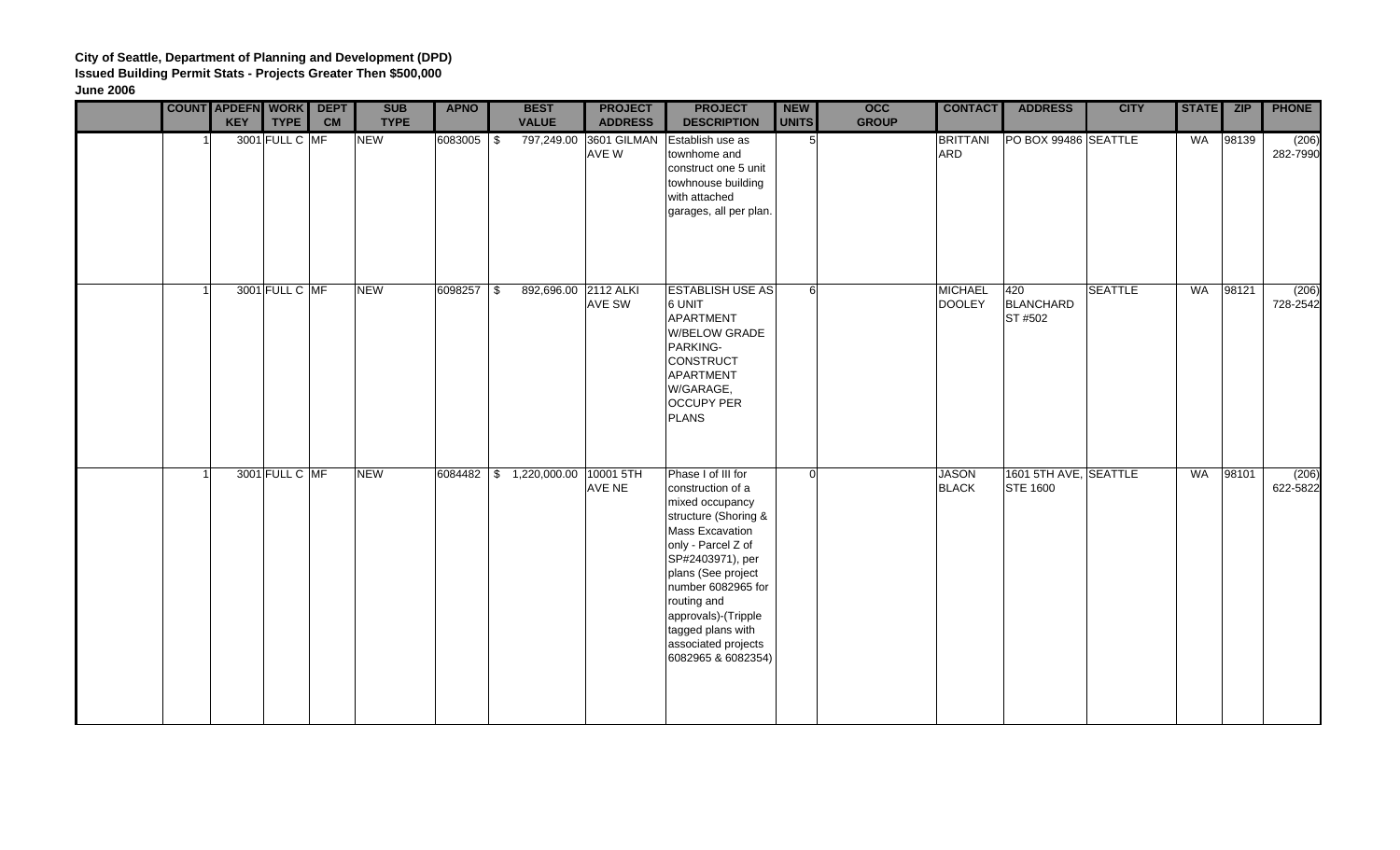|  | <b>COUNT APDEFN WORK</b><br><b>KEY</b> | <b>TYPE</b> | <b>DEPT</b><br><b>CM</b> | <b>SUB</b><br><b>TYPE</b> | <b>APNO</b> | <b>BEST</b><br><b>VALUE</b>       | <b>PROJECT</b><br><b>ADDRESS</b> | <b>PROJECT</b><br><b>DESCRIPTION</b>                                                                                                                                                                                                                                                                | <b>NEW</b><br>UNITS | <b>OCC</b><br><b>GROUP</b> | <b>CONTACT</b>                  | <b>ADDRESS</b>                           | <b>CITY</b>    | STATE ZIP |       | <b>PHONE</b>      |
|--|----------------------------------------|-------------|--------------------------|---------------------------|-------------|-----------------------------------|----------------------------------|-----------------------------------------------------------------------------------------------------------------------------------------------------------------------------------------------------------------------------------------------------------------------------------------------------|---------------------|----------------------------|---------------------------------|------------------------------------------|----------------|-----------|-------|-------------------|
|  | 3001 FULL C MF                         |             |                          | <b>NEW</b>                | 6083005 \$  | 797,249.00                        | 3601 GILMAN<br>AVE W             | Establish use as<br>townhome and<br>construct one 5 unit<br>towhnouse building<br>with attached<br>garages, all per plan.                                                                                                                                                                           | 5 <sup>1</sup>      |                            | <b>BRITTANI</b><br><b>ARD</b>   | PO BOX 99486 SEATTLE                     |                | WA        | 98139 | (206)<br>282-7990 |
|  | 3001 FULL C MF                         |             |                          | <b>NEW</b>                | 6098257 \$  | 892,696.00 2112 ALKI              | AVE SW                           | <b>ESTABLISH USE AS</b><br>6 UNIT<br>APARTMENT<br>W/BELOW GRADE<br>PARKING-<br>CONSTRUCT<br>APARTMENT<br>W/GARAGE,<br><b>OCCUPY PER</b><br><b>PLANS</b>                                                                                                                                             | 6                   |                            | <b>MICHAEL</b><br><b>DOOLEY</b> | 420<br><b>BLANCHARD</b><br>ST #502       | <b>SEATTLE</b> | WA        | 98121 | (206)<br>728-2542 |
|  | 3001 FULL C MF                         |             |                          | <b>NEW</b>                |             | 6084482 \$ 1,220,000.00 10001 5TH | AVE NE                           | Phase I of III for<br>construction of a<br>mixed occupancy<br>structure (Shoring &<br>Mass Excavation<br>only - Parcel Z of<br>SP#2403971), per<br>plans (See project<br>number 6082965 for<br>routing and<br>approvals)-(Tripple<br>tagged plans with<br>associated projects<br>6082965 & 6082354) | 0l                  |                            | <b>JASON</b><br><b>BLACK</b>    | 1601 5TH AVE, SEATTLE<br><b>STE 1600</b> |                | WA        | 98101 | (206)<br>622-5822 |